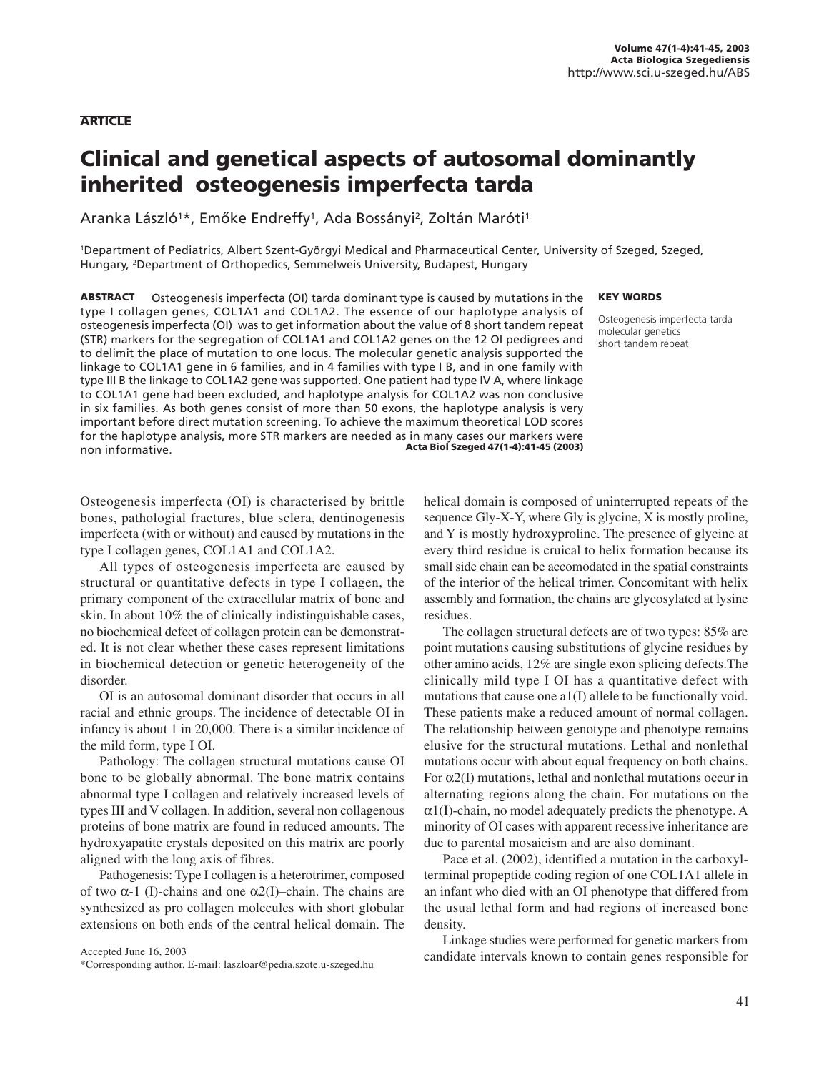#### **ARTICLE**

# Clinical and genetical aspects of autosomal dominantly inherited osteogenesis imperfecta tarda

Aranka László†\*, Emőke Endreffy†, Ada Bossányi<sup>2</sup>, Zoltán Maróti<sup>1</sup>

1Department of Pediatrics, Albert Szent-Györgyi Medical and Pharmaceutical Center, University of Szeged, Szeged, Hungary, 2Department of Orthopedics, Semmelweis University, Budapest, Hungary

#### KEY WORDS

type I collagen genes, COL1A1 and COL1A2. The essence of our haplotype analysis of osteogenesis imperfecta (OI) was to get information about the value of 8 short tandem repeat (STR) markers for the segregation of COL1A1 and COL1A2 genes on the 12 OI pedigrees and to delimit the place of mutation to one locus. The molecular genetic analysis supported the linkage to COL1A1 gene in 6 families, and in 4 families with type I B, and in one family with type III B the linkage to COL1A2 gene was supported. One patient had type IV A, where linkage to COL1A1 gene had been excluded, and haplotype analysis for COL1A2 was non conclusive in six families. As both genes consist of more than 50 exons, the haplotype analysis is very important before direct mutation screening. To achieve the maximum theoretical LOD scores for the haplotype analysis, more STR markers are needed as in many cases our markers were non informative. Acta Biol Szeged 47(1-4):41-45 (2003) Osteogenesis imperfecta tarda molecular genetics short tandem repeat

ABSTRACT Osteogenesis imperfecta (OI) tarda dominant type is caused by mutations in the

Osteogenesis imperfecta (OI) is characterised by brittle bones, pathologial fractures, blue sclera, dentinogenesis imperfecta (with or without) and caused by mutations in the type I collagen genes, COL1A1 and COL1A2.

All types of osteogenesis imperfecta are caused by structural or quantitative defects in type I collagen, the primary component of the extracellular matrix of bone and skin. In about 10% the of clinically indistinguishable cases, no biochemical defect of collagen protein can be demonstrated. It is not clear whether these cases represent limitations in biochemical detection or genetic heterogeneity of the disorder.

OI is an autosomal dominant disorder that occurs in all racial and ethnic groups. The incidence of detectable OI in infancy is about 1 in 20,000. There is a similar incidence of the mild form, type I OI.

Pathology: The collagen structural mutations cause OI bone to be globally abnormal. The bone matrix contains abnormal type I collagen and relatively increased levels of types III and V collagen. In addition, several non collagenous proteins of bone matrix are found in reduced amounts. The hydroxyapatite crystals deposited on this matrix are poorly aligned with the long axis of fibres.

Pathogenesis: Type I collagen is a heterotrimer, composed of two α-1 (I)-chains and one α2(I)–chain. The chains are synthesized as pro collagen molecules with short globular extensions on both ends of the central helical domain. The

Accepted June 16, 2003

\*Corresponding author. E-mail: laszloar@pedia.szote.u-szeged.hu

helical domain is composed of uninterrupted repeats of the sequence Gly-X-Y, where Gly is glycine, X is mostly proline, and Y is mostly hydroxyproline. The presence of glycine at every third residue is cruical to helix formation because its small side chain can be accomodated in the spatial constraints of the interior of the helical trimer. Concomitant with helix assembly and formation, the chains are glycosylated at lysine residues.

The collagen structural defects are of two types: 85% are point mutations causing substitutions of glycine residues by other amino acids, 12% are single exon splicing defects.The clinically mild type I OI has a quantitative defect with mutations that cause one a1(I) allele to be functionally void. These patients make a reduced amount of normal collagen. The relationship between genotype and phenotype remains elusive for the structural mutations. Lethal and nonlethal mutations occur with about equal frequency on both chains. For  $\alpha$ 2(I) mutations, lethal and nonlethal mutations occur in alternating regions along the chain. For mutations on the  $\alpha$ 1(I)-chain, no model adequately predicts the phenotype. A minority of OI cases with apparent recessive inheritance are due to parental mosaicism and are also dominant.

Pace et al. (2002), identified a mutation in the carboxylterminal propeptide coding region of one COL1A1 allele in an infant who died with an OI phenotype that differed from the usual lethal form and had regions of increased bone density.

Linkage studies were performed for genetic markers from candidate intervals known to contain genes responsible for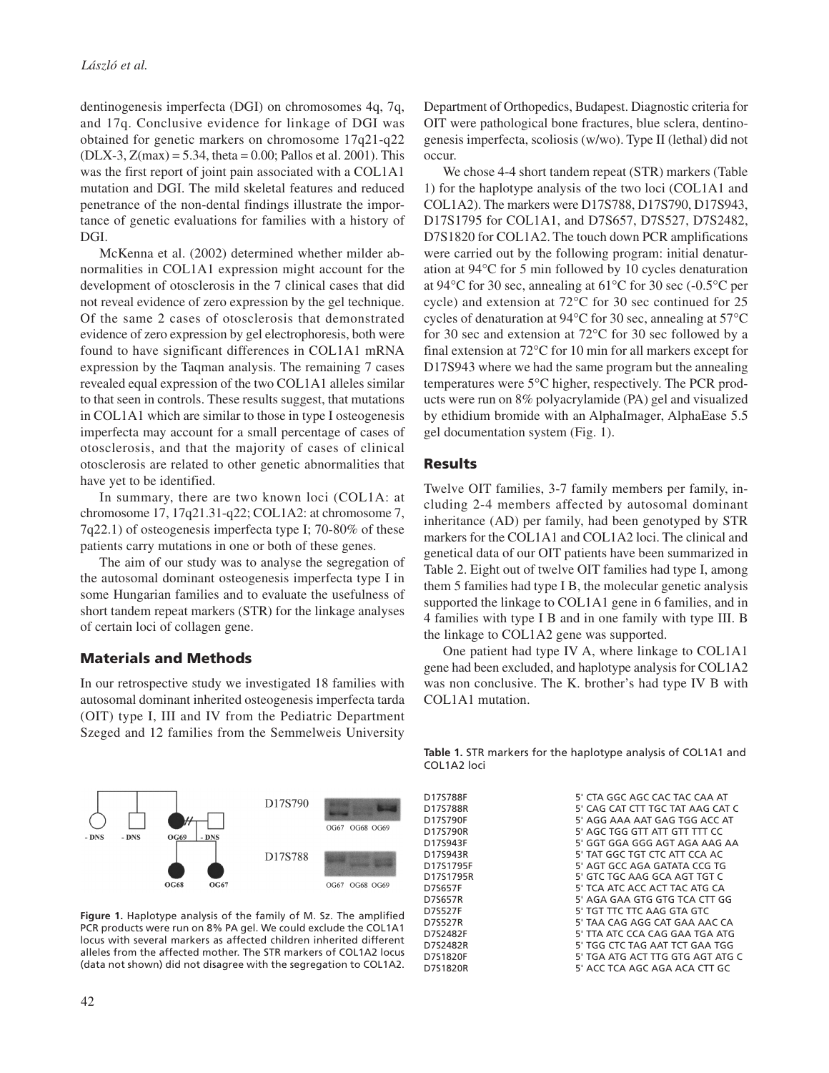dentinogenesis imperfecta (DGI) on chromosomes 4q, 7q, and 17q. Conclusive evidence for linkage of DGI was obtained for genetic markers on chromosome 17q21-q22  $(DLX-3, Z(max) = 5.34$ , theta = 0.00; Pallos et al. 2001). This was the first report of joint pain associated with a COL1A1 mutation and DGI. The mild skeletal features and reduced penetrance of the non-dental findings illustrate the importance of genetic evaluations for families with a history of DGI.

McKenna et al. (2002) determined whether milder abnormalities in COL1A1 expression might account for the development of otosclerosis in the 7 clinical cases that did not reveal evidence of zero expression by the gel technique. Of the same 2 cases of otosclerosis that demonstrated evidence of zero expression by gel electrophoresis, both were found to have significant differences in COL1A1 mRNA expression by the Taqman analysis. The remaining 7 cases revealed equal expression of the two COL1A1 alleles similar to that seen in controls. These results suggest, that mutations in COL1A1 which are similar to those in type I osteogenesis imperfecta may account for a small percentage of cases of otosclerosis, and that the majority of cases of clinical otosclerosis are related to other genetic abnormalities that have yet to be identified.

In summary, there are two known loci (COL1A: at chromosome 17, 17q21.31-q22; COL1A2: at chromosome 7, 7q22.1) of osteogenesis imperfecta type I; 70-80% of these patients carry mutations in one or both of these genes.

The aim of our study was to analyse the segregation of the autosomal dominant osteogenesis imperfecta type I in some Hungarian families and to evaluate the usefulness of short tandem repeat markers (STR) for the linkage analyses of certain loci of collagen gene.

### Materials and Methods

In our retrospective study we investigated 18 families with autosomal dominant inherited osteogenesis imperfecta tarda (OIT) type I, III and IV from the Pediatric Department Szeged and 12 families from the Semmelweis University



**Figure 1.** Haplotype analysis of the family of M. Sz. The amplified PCR products were run on 8% PA gel. We could exclude the COL1A1 locus with several markers as affected children inherited different alleles from the affected mother. The STR markers of COL1A2 locus (data not shown) did not disagree with the segregation to COL1A2.

Department of Orthopedics, Budapest. Diagnostic criteria for OIT were pathological bone fractures, blue sclera, dentinogenesis imperfecta, scoliosis (w/wo). Type II (lethal) did not occur.

We chose 4-4 short tandem repeat (STR) markers (Table 1) for the haplotype analysis of the two loci (COL1A1 and COL1A2). The markers were D17S788, D17S790, D17S943, D17S1795 for COL1A1, and D7S657, D7S527, D7S2482, D7S1820 for COL1A2. The touch down PCR amplifications were carried out by the following program: initial denaturation at 94°C for 5 min followed by 10 cycles denaturation at 94°C for 30 sec, annealing at 61°C for 30 sec (-0.5°C per cycle) and extension at 72°C for 30 sec continued for 25 cycles of denaturation at 94°C for 30 sec, annealing at 57°C for 30 sec and extension at 72°C for 30 sec followed by a final extension at 72°C for 10 min for all markers except for D17S943 where we had the same program but the annealing temperatures were 5°C higher, respectively. The PCR products were run on 8% polyacrylamide (PA) gel and visualized by ethidium bromide with an AlphaImager, AlphaEase 5.5 gel documentation system (Fig. 1).

#### Results

Twelve OIT families, 3-7 family members per family, including 2-4 members affected by autosomal dominant inheritance (AD) per family, had been genotyped by STR markers for the COL1A1 and COL1A2 loci. The clinical and genetical data of our OIT patients have been summarized in Table 2. Eight out of twelve OIT families had type I, among them 5 families had type I B, the molecular genetic analysis supported the linkage to COL1A1 gene in 6 families, and in 4 families with type I B and in one family with type III. B the linkage to COL1A2 gene was supported.

One patient had type IV A, where linkage to COL1A1 gene had been excluded, and haplotype analysis for COL1A2 was non conclusive. The K. brother's had type IV B with COL1A1 mutation.

**Table 1.** STR markers for the haplotype analysis of COL1A1 and COL1A2 loci

D17S788F 5' CTA GGC AGC CAC TAC CAA AT 5' CAG CAT CTT TGC TAT AAG CAT C D17S790F 5' AGG AAA AAT GAG TGG ACC AT D17S790R 5' AGC TGG GTT ATT GTT TTT CC D17S943F 5' GGT GGA GGG AGT AGA AAG AA D17S943R 5' TAT GGC TGT CTC ATT CCA AC D17S943R 5' TAT GGC TGT CTC ATT CCA AC<br>D17S1795F 5' AGT GCC AGA GATATA CCG TC D17S1795F 5' AGT GCC AGA GATATA CCG TG 5' GTC TGC AAG GCA AGT TGT C D7S657F 5' TCA ATC ACC ACT TAC ATG CA D7S657R 5' AGA GAA GTG GTG TCA CTT GG D7S527F 5' TGT TTC TTC AAG GTA GTC 5' TAA CAG AGG CAT GAA AAC CA D7S2482F 5' TTA ATC CCA CAG GAA TGA ATG D7S2482R 5' TGG CTC TAG AAT TCT GAA TGG D7S1820F 5' TGA ATG ACT TTG GTG AGT ATG C<br>D7S1820R 5' ACC TCA AGC AGA ACA CTT GC 5' ACC TCA AGC AGA ACA CTT GC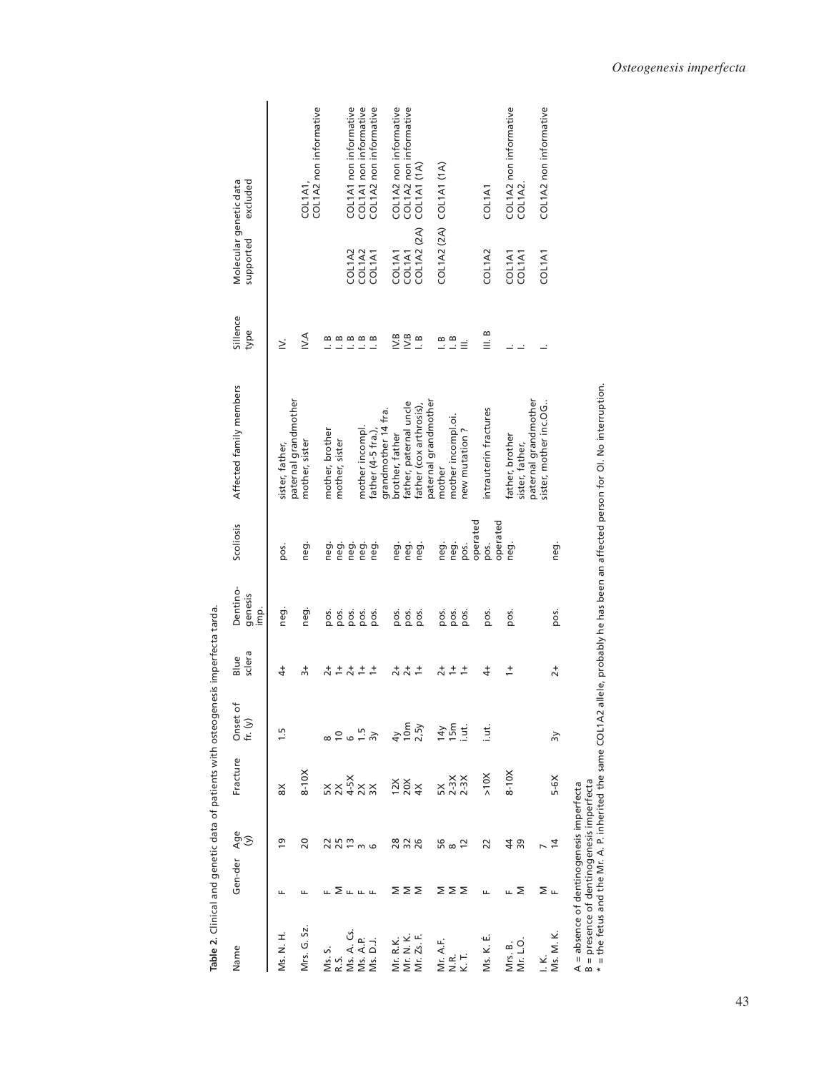| <b>Property Alexandria Construction Constitution of the Alexandria Constantinent Constitution Constitution Constitution Constitution Constitution Constitution Constitution Constitution Constitution Constitution Constitution </b> |             |                  |                                                                                     |                             | esis imperiecta tarua.                    |                             |           |                                                                                                                                |                    |                                     |                                   |
|--------------------------------------------------------------------------------------------------------------------------------------------------------------------------------------------------------------------------------------|-------------|------------------|-------------------------------------------------------------------------------------|-----------------------------|-------------------------------------------|-----------------------------|-----------|--------------------------------------------------------------------------------------------------------------------------------|--------------------|-------------------------------------|-----------------------------------|
| Name                                                                                                                                                                                                                                 | Gen-der Age | $\Im$            | Fracture                                                                            | Onset of<br>fr. $(y)$       | sclera<br>Blue                            | Dentino-<br>genesis<br>imp. | Scollosis | Affected family members                                                                                                        | Sillence<br>type   | Molecular genetic data<br>supported | excluded                          |
| Ms. N. H.                                                                                                                                                                                                                            | щ           | ഉ                | $\frac{8}{2}$                                                                       | 1.5                         | $\ddot{ }$                                | neg.                        | pos.      | paternal grandmother<br>sister, father,                                                                                        | Σ                  |                                     |                                   |
| Mrs. G. Sz.                                                                                                                                                                                                                          | щ           | 20               | $8-10X$                                                                             |                             | $\frac{1}{2}$                             | neg.                        | neg.      | mother, sister                                                                                                                 | ΝA                 |                                     | COL1A2 non informative<br>COL1A1, |
| Ms. S.                                                                                                                                                                                                                               | щ           |                  |                                                                                     |                             | $\vec{c}$                                 | pos.                        | neg.      | mother, brother                                                                                                                |                    |                                     |                                   |
| R.S.                                                                                                                                                                                                                                 |             | 252<br>252<br>26 | $\begin{array}{c}\times\times\phantom{0}4\phantom{0}8\phantom{0}\times \end{array}$ | 9672                        | $\frac{+}{-}$                             | pos.                        | neg.      | mother, sister                                                                                                                 | ------<br>-----    |                                     |                                   |
| Ms. A. Cs.                                                                                                                                                                                                                           | ᅙᇿᇿᇿ        |                  |                                                                                     |                             | $\overline{c}$                            | pos.                        | neg.      |                                                                                                                                |                    | COL1A2                              | COL1A1 non informative            |
| Ms. A.P.                                                                                                                                                                                                                             |             |                  |                                                                                     |                             | $\stackrel{+}{\rightarrow}$               | pos.                        | neg.      | mother incompl.                                                                                                                |                    | COL1A2<br>COL1A1                    | COL1A1 non informative            |
| Ms. D.J.                                                                                                                                                                                                                             |             |                  |                                                                                     |                             | $\overline{1}$                            | pos.                        | neg.      | father (4-5 fra.),                                                                                                             |                    |                                     | COL1A2 non informative            |
|                                                                                                                                                                                                                                      |             |                  |                                                                                     |                             |                                           |                             |           | grandmother 14 fra.                                                                                                            |                    |                                     |                                   |
| Mr. R.K.<br>Mr. N. K.<br>Mr. Zs. F.                                                                                                                                                                                                  | ∑∑∑         | 28<br>226        | $\frac{28}{20}$                                                                     |                             |                                           | pos.                        | neg.      | brother, father                                                                                                                | IV.B               | COL1A1                              | COL1A2 non informative            |
|                                                                                                                                                                                                                                      |             |                  |                                                                                     |                             | $\frac{1}{2} + \frac{1}{2} + \frac{1}{2}$ | pos.                        | neg.      | father, paternal uncle                                                                                                         | IV.B               | COL1A1                              | COL1A2 non informative            |
|                                                                                                                                                                                                                                      |             |                  |                                                                                     | <sub>4</sub><br>10m<br>2.5y |                                           | pos.                        | neg.      | father (cox arthrosis),                                                                                                        | $\frac{8}{1}$      | COL1A2 (2A)                         | COL1A1 (1A)                       |
|                                                                                                                                                                                                                                      |             |                  |                                                                                     |                             |                                           |                             |           | paternal grandmother                                                                                                           |                    |                                     |                                   |
| Mr. A.F.                                                                                                                                                                                                                             |             |                  |                                                                                     |                             | $rac{+}{2}$                               | pos.                        | neg.      | mother                                                                                                                         |                    |                                     | COL1A2 (2A) COL1A1 (1A)           |
| Ν.R.                                                                                                                                                                                                                                 | ∑∑∑         | 56 s 2           | 5X<br>2-3X<br>2-3X                                                                  |                             |                                           | pos.                        | neg.      | mother incompl.oi.                                                                                                             | $\frac{\infty}{1}$ |                                     |                                   |
| Κ.                                                                                                                                                                                                                                   |             |                  |                                                                                     | 호텔 국                        | $\frac{+}{-}$                             | pos.                        | pos.      | new mutation?                                                                                                                  | $\equiv$           |                                     |                                   |
|                                                                                                                                                                                                                                      |             |                  |                                                                                     |                             |                                           |                             | operated  |                                                                                                                                |                    |                                     |                                   |
| Ms. K. É.                                                                                                                                                                                                                            | щ           | 22               | $>10$ X                                                                             | i.<br>E                     | $\ddot{ }$                                | pos.                        | pos.      | intrauterin fractures                                                                                                          | ∞<br>≣             | COL1A2                              | COL1A1                            |
|                                                                                                                                                                                                                                      |             |                  |                                                                                     |                             |                                           |                             | operated  |                                                                                                                                |                    |                                     |                                   |
| Mrs. B.<br>Mr. L.O.                                                                                                                                                                                                                  | ∟ Σ         | 4 <sup>8</sup>   | $8-10X$                                                                             |                             | $\frac{+}{-}$                             | pos.                        | neg.      | father, brother                                                                                                                |                    | COL1A1<br>COL1A1                    | COL1A2 non informative            |
|                                                                                                                                                                                                                                      |             |                  |                                                                                     |                             |                                           |                             |           | sister, father,                                                                                                                |                    |                                     | COL1A2                            |
|                                                                                                                                                                                                                                      |             |                  |                                                                                     |                             |                                           |                             |           | paternal grandmother                                                                                                           |                    |                                     |                                   |
| I.K.                                                                                                                                                                                                                                 | ∑ ட         |                  |                                                                                     |                             |                                           |                             |           | sister, mother inc.OG.                                                                                                         |                    | COL1A1                              | COL1A2 non informative            |
| Ms. M. K.                                                                                                                                                                                                                            |             | 4                | $5-6X$                                                                              | $\approx$                   | $\overline{2}$ +                          | pos.                        | neg.      |                                                                                                                                |                    |                                     |                                   |
| A = absence of dentinogenesis imperfecta<br>B = presence of dentinogenesis imperfecta                                                                                                                                                |             |                  |                                                                                     |                             |                                           |                             |           |                                                                                                                                |                    |                                     |                                   |
|                                                                                                                                                                                                                                      |             |                  |                                                                                     |                             |                                           |                             |           | the fetus and the Mr. A. P. inherited the same COL1A2 allele, probably he has been an affected person for OI. No interruption. |                    |                                     |                                   |

Table 2. Clinical and genetic data of patients with osteogenesis imperfecta tarda. **Table 2.** Clinical and genetic data of patients with osteogenesis imperfecta tarda.

43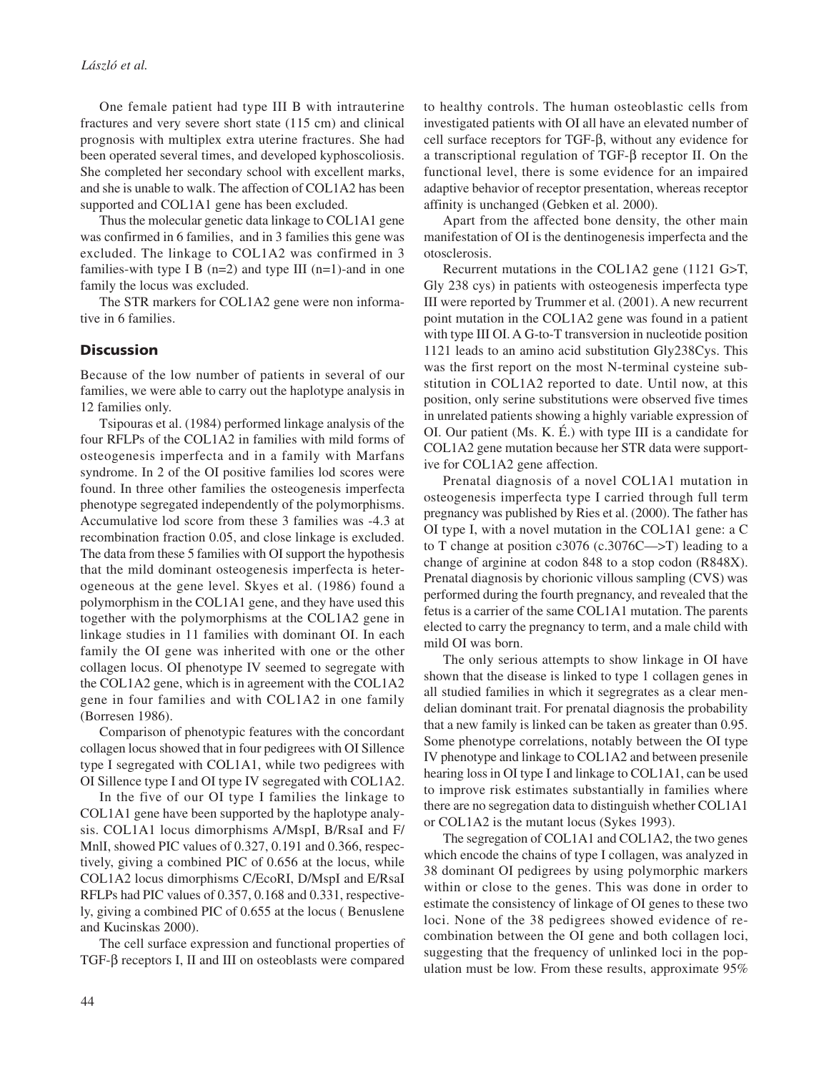One female patient had type III B with intrauterine fractures and very severe short state (115 cm) and clinical prognosis with multiplex extra uterine fractures. She had been operated several times, and developed kyphoscoliosis. She completed her secondary school with excellent marks, and she is unable to walk. The affection of COL1A2 has been supported and COL1A1 gene has been excluded.

Thus the molecular genetic data linkage to COL1A1 gene was confirmed in 6 families, and in 3 families this gene was excluded. The linkage to COL1A2 was confirmed in 3 families-with type I B  $(n=2)$  and type III  $(n=1)$ -and in one family the locus was excluded.

The STR markers for COL1A2 gene were non informative in 6 families.

### **Discussion**

Because of the low number of patients in several of our families, we were able to carry out the haplotype analysis in 12 families only.

Tsipouras et al. (1984) performed linkage analysis of the four RFLPs of the COL1A2 in families with mild forms of osteogenesis imperfecta and in a family with Marfans syndrome. In 2 of the OI positive families lod scores were found. In three other families the osteogenesis imperfecta phenotype segregated independently of the polymorphisms. Accumulative lod score from these 3 families was -4.3 at recombination fraction 0.05, and close linkage is excluded. The data from these 5 families with OI support the hypothesis that the mild dominant osteogenesis imperfecta is heterogeneous at the gene level. Skyes et al. (1986) found a polymorphism in the COL1A1 gene, and they have used this together with the polymorphisms at the COL1A2 gene in linkage studies in 11 families with dominant OI. In each family the OI gene was inherited with one or the other collagen locus. OI phenotype IV seemed to segregate with the COL1A2 gene, which is in agreement with the COL1A2 gene in four families and with COL1A2 in one family (Borresen 1986).

Comparison of phenotypic features with the concordant collagen locus showed that in four pedigrees with OI Sillence type I segregated with COL1A1, while two pedigrees with OI Sillence type I and OI type IV segregated with COL1A2.

In the five of our OI type I families the linkage to COL1A1 gene have been supported by the haplotype analysis. COL1A1 locus dimorphisms A/MspI, B/RsaI and F/ MnlI, showed PIC values of 0.327, 0.191 and 0.366, respectively, giving a combined PIC of 0.656 at the locus, while COL1A2 locus dimorphisms C/EcoRI, D/MspI and E/RsaI RFLPs had PIC values of 0.357, 0.168 and 0.331, respectively, giving a combined PIC of 0.655 at the locus ( Benuslene and Kucinskas 2000).

The cell surface expression and functional properties of TGF-β receptors I, II and III on osteoblasts were compared to healthy controls. The human osteoblastic cells from investigated patients with OI all have an elevated number of cell surface receptors for TGF-β, without any evidence for a transcriptional regulation of TGF-β receptor II. On the functional level, there is some evidence for an impaired adaptive behavior of receptor presentation, whereas receptor affinity is unchanged (Gebken et al. 2000).

Apart from the affected bone density, the other main manifestation of OI is the dentinogenesis imperfecta and the otosclerosis.

Recurrent mutations in the COL1A2 gene (1121 G>T, Gly 238 cys) in patients with osteogenesis imperfecta type III were reported by Trummer et al. (2001). A new recurrent point mutation in the COL1A2 gene was found in a patient with type III OI. A G-to-T transversion in nucleotide position 1121 leads to an amino acid substitution Gly238Cys. This was the first report on the most N-terminal cysteine substitution in COL1A2 reported to date. Until now, at this position, only serine substitutions were observed five times in unrelated patients showing a highly variable expression of OI. Our patient (Ms. K. É.) with type III is a candidate for COL1A2 gene mutation because her STR data were supportive for COL1A2 gene affection.

Prenatal diagnosis of a novel COL1A1 mutation in osteogenesis imperfecta type I carried through full term pregnancy was published by Ries et al. (2000). The father has OI type I, with a novel mutation in the COL1A1 gene: a C to T change at position c3076 (c.3076C—>T) leading to a change of arginine at codon 848 to a stop codon (R848X). Prenatal diagnosis by chorionic villous sampling (CVS) was performed during the fourth pregnancy, and revealed that the fetus is a carrier of the same COL1A1 mutation. The parents elected to carry the pregnancy to term, and a male child with mild OI was born.

The only serious attempts to show linkage in OI have shown that the disease is linked to type 1 collagen genes in all studied families in which it segregrates as a clear mendelian dominant trait. For prenatal diagnosis the probability that a new family is linked can be taken as greater than 0.95. Some phenotype correlations, notably between the OI type IV phenotype and linkage to COL1A2 and between presenile hearing loss in OI type I and linkage to COL1A1, can be used to improve risk estimates substantially in families where there are no segregation data to distinguish whether COL1A1 or COL1A2 is the mutant locus (Sykes 1993).

The segregation of COL1A1 and COL1A2, the two genes which encode the chains of type I collagen, was analyzed in 38 dominant OI pedigrees by using polymorphic markers within or close to the genes. This was done in order to estimate the consistency of linkage of OI genes to these two loci. None of the 38 pedigrees showed evidence of recombination between the OI gene and both collagen loci, suggesting that the frequency of unlinked loci in the population must be low. From these results, approximate 95%